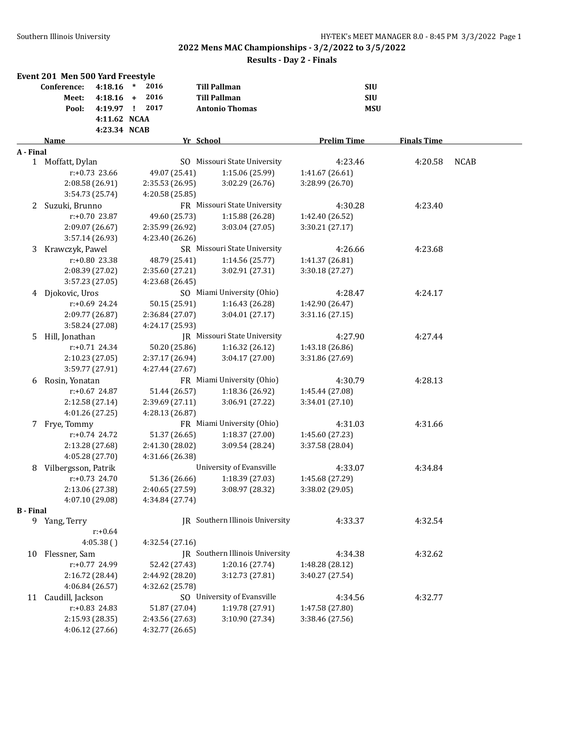**Results - Day 2 - Finals**

|                  | Event 201 Men 500 Yard Freestyle |             |                 |                                 |                    |                    |             |
|------------------|----------------------------------|-------------|-----------------|---------------------------------|--------------------|--------------------|-------------|
|                  | Conference:                      | 4:18.16     | $\ast$<br>2016  | <b>Till Pallman</b>             | <b>SIU</b>         |                    |             |
|                  | Meet:                            | $4:18.16 +$ | 2016            | <b>Till Pallman</b>             | <b>SIU</b>         |                    |             |
|                  | Pool:                            | 4:19.97 !   | 2017            | <b>Antonio Thomas</b>           | <b>MSU</b>         |                    |             |
|                  |                                  |             | 4:11.62 NCAA    |                                 |                    |                    |             |
|                  |                                  |             | 4:23.34 NCAB    |                                 |                    |                    |             |
|                  | Name                             |             |                 | Yr School                       | <b>Prelim Time</b> | <b>Finals Time</b> |             |
| A - Final        | 1 Moffatt, Dylan                 |             |                 | SO Missouri State University    | 4:23.46            | 4:20.58            | <b>NCAB</b> |
|                  | $r: +0.73$ 23.66                 |             | 49.07 (25.41)   | 1:15.06 (25.99)                 | 1:41.67 (26.61)    |                    |             |
|                  | 2:08.58 (26.91)                  |             | 2:35.53 (26.95) | 3:02.29 (26.76)                 | 3:28.99 (26.70)    |                    |             |
|                  | 3:54.73 (25.74)                  |             | 4:20.58 (25.85) |                                 |                    |                    |             |
|                  | 2 Suzuki, Brunno                 |             |                 | FR Missouri State University    | 4:30.28            | 4:23.40            |             |
|                  | $r: +0.70$ 23.87                 |             | 49.60 (25.73)   | 1:15.88 (26.28)                 | 1:42.40 (26.52)    |                    |             |
|                  | 2:09.07 (26.67)                  |             | 2:35.99 (26.92) | 3:03.04 (27.05)                 | 3:30.21 (27.17)    |                    |             |
|                  | 3:57.14 (26.93)                  |             | 4:23.40 (26.26) |                                 |                    |                    |             |
| 3                | Krawczyk, Pawel                  |             |                 | SR Missouri State University    | 4:26.66            | 4:23.68            |             |
|                  | $r: +0.80$ 23.38                 |             | 48.79 (25.41)   | 1:14.56 (25.77)                 | 1:41.37 (26.81)    |                    |             |
|                  | 2:08.39 (27.02)                  |             | 2:35.60 (27.21) | 3:02.91 (27.31)                 | 3:30.18(27.27)     |                    |             |
|                  | 3:57.23 (27.05)                  |             | 4:23.68 (26.45) |                                 |                    |                    |             |
|                  | 4 Djokovic, Uros                 |             |                 | SO Miami University (Ohio)      | 4:28.47            | 4:24.17            |             |
|                  | $r: +0.69$ 24.24                 |             | 50.15 (25.91)   | 1:16.43 (26.28)                 | 1:42.90 (26.47)    |                    |             |
|                  | 2:09.77 (26.87)                  |             | 2:36.84 (27.07) | 3:04.01 (27.17)                 | 3:31.16 (27.15)    |                    |             |
|                  | 3:58.24 (27.08)                  |             | 4:24.17 (25.93) |                                 |                    |                    |             |
| 5.               | Hill, Jonathan                   |             |                 | JR Missouri State University    | 4:27.90            | 4:27.44            |             |
|                  | r:+0.71 24.34                    |             | 50.20 (25.86)   | 1:16.32 (26.12)                 | 1:43.18 (26.86)    |                    |             |
|                  | 2:10.23 (27.05)                  |             | 2:37.17 (26.94) | 3:04.17 (27.00)                 | 3:31.86 (27.69)    |                    |             |
|                  | 3:59.77 (27.91)                  |             | 4:27.44 (27.67) |                                 |                    |                    |             |
| 6                | Rosin, Yonatan                   |             |                 | FR Miami University (Ohio)      | 4:30.79            | 4:28.13            |             |
|                  | r:+0.67 24.87                    |             | 51.44 (26.57)   | 1:18.36 (26.92)                 | 1:45.44 (27.08)    |                    |             |
|                  | 2:12.58 (27.14)                  |             | 2:39.69 (27.11) | 3:06.91 (27.22)                 | 3:34.01 (27.10)    |                    |             |
|                  | 4:01.26 (27.25)                  |             | 4:28.13 (26.87) |                                 |                    |                    |             |
|                  | 7 Frye, Tommy                    |             |                 | FR Miami University (Ohio)      | 4:31.03            | 4:31.66            |             |
|                  | r:+0.74 24.72                    |             | 51.37 (26.65)   | 1:18.37 (27.00)                 | 1:45.60 (27.23)    |                    |             |
|                  | 2:13.28 (27.68)                  |             | 2:41.30 (28.02) | 3:09.54 (28.24)                 | 3:37.58 (28.04)    |                    |             |
|                  | 4:05.28 (27.70)                  |             | 4:31.66 (26.38) |                                 |                    |                    |             |
| 8                | Vilbergsson, Patrik              |             |                 | University of Evansville        | 4:33.07            | 4:34.84            |             |
|                  | $r: +0.73$ 24.70                 |             | 51.36 (26.66)   | 1:18.39 (27.03)                 | 1:45.68 (27.29)    |                    |             |
|                  | 2:13.06 (27.38)                  |             | 2:40.65 (27.59) | 3:08.97 (28.32)                 | 3:38.02 (29.05)    |                    |             |
|                  | 4:07.10 (29.08)                  |             | 4:34.84 (27.74) |                                 |                    |                    |             |
| <b>B</b> - Final |                                  |             |                 |                                 |                    |                    |             |
|                  | 9 Yang, Terry                    |             |                 | JR Southern Illinois University | 4:33.37            | 4:32.54            |             |
|                  | $r: +0.64$                       |             |                 |                                 |                    |                    |             |
|                  | 4:05.38()                        |             | 4:32.54 (27.16) |                                 |                    |                    |             |
|                  | 10 Flessner, Sam                 |             |                 | JR Southern Illinois University | 4:34.38            | 4:32.62            |             |
|                  | r:+0.77 24.99                    |             | 52.42 (27.43)   | 1:20.16 (27.74)                 | 1:48.28 (28.12)    |                    |             |
|                  | 2:16.72 (28.44)                  |             | 2:44.92 (28.20) | 3:12.73 (27.81)                 | 3:40.27 (27.54)    |                    |             |
|                  | 4:06.84 (26.57)                  |             | 4:32.62 (25.78) |                                 |                    |                    |             |
| 11               | Caudill, Jackson                 |             |                 | SO University of Evansville     | 4:34.56            | 4:32.77            |             |
|                  | r:+0.83 24.83                    |             | 51.87 (27.04)   | 1:19.78 (27.91)                 | 1:47.58 (27.80)    |                    |             |
|                  | 2:15.93 (28.35)                  |             | 2:43.56 (27.63) | 3:10.90 (27.34)                 | 3:38.46 (27.56)    |                    |             |
|                  | 4:06.12 (27.66)                  |             | 4:32.77 (26.65) |                                 |                    |                    |             |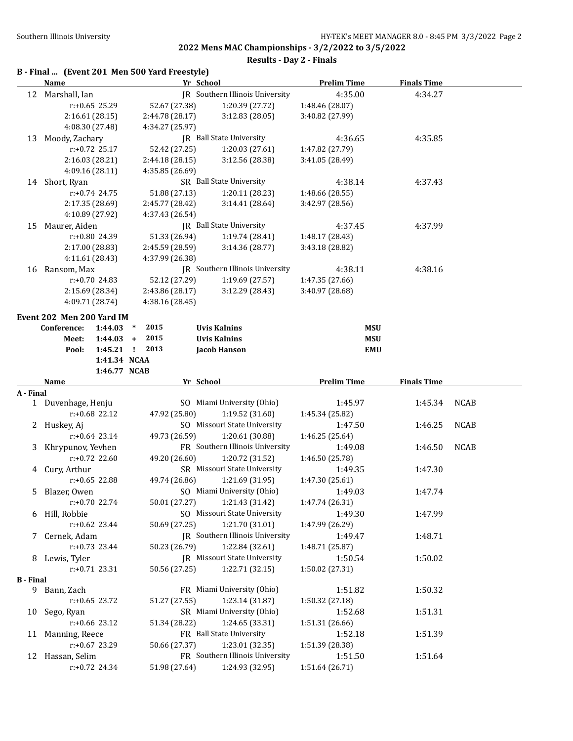**2022 Mens MAC Championships - 3/2/2022 to 3/5/2022 Results - Day 2 - Finals**

#### **B - Final ... (Event 201 Men 500 Yard Freestyle)**

|                  | Name                              |                               | Yr School |                                                    | <b>Prelim Time</b>         | <b>Finals Time</b> |             |
|------------------|-----------------------------------|-------------------------------|-----------|----------------------------------------------------|----------------------------|--------------------|-------------|
|                  | 12 Marshall, Ian                  |                               |           | IR Southern Illinois University                    | 4:35.00                    | 4:34.27            |             |
|                  | r:+0.65 25.29                     | 52.67 (27.38)                 |           | 1:20.39 (27.72)                                    | 1:48.46 (28.07)            |                    |             |
|                  | 2:16.61(28.15)                    | 2:44.78 (28.17)               |           | 3:12.83 (28.05)                                    | 3:40.82 (27.99)            |                    |             |
|                  | 4:08.30 (27.48)                   | 4:34.27 (25.97)               |           |                                                    |                            |                    |             |
| 13               | Moody, Zachary                    |                               |           | JR Ball State University                           | 4:36.65                    | 4:35.85            |             |
|                  | $r: +0.72$ 25.17                  | 52.42 (27.25)                 |           | 1:20.03 (27.61)                                    | 1:47.82 (27.79)            |                    |             |
|                  | 2:16.03 (28.21)                   | 2:44.18 (28.15)               |           | 3:12.56 (28.38)                                    | 3:41.05 (28.49)            |                    |             |
|                  | 4:09.16 (28.11)                   | 4:35.85 (26.69)               |           |                                                    |                            |                    |             |
|                  | 14 Short, Ryan                    |                               |           | SR Ball State University                           | 4:38.14                    | 4:37.43            |             |
|                  | $r: +0.74$ 24.75                  | 51.88 (27.13)                 |           | 1:20.11 (28.23)                                    | 1:48.66 (28.55)            |                    |             |
|                  | 2:17.35 (28.69)                   | 2:45.77 (28.42)               |           | 3:14.41 (28.64)                                    | 3:42.97 (28.56)            |                    |             |
|                  | 4:10.89 (27.92)                   | 4:37.43 (26.54)               |           |                                                    |                            |                    |             |
| 15               | Maurer, Aiden                     |                               |           | JR Ball State University                           | 4:37.45                    | 4:37.99            |             |
|                  | r:+0.80 24.39                     | 51.33 (26.94)                 |           | 1:19.74 (28.41)                                    | 1:48.17 (28.43)            |                    |             |
|                  | 2:17.00 (28.83)                   | 2:45.59 (28.59)               |           | 3:14.36 (28.77)                                    | 3:43.18 (28.82)            |                    |             |
|                  | 4:11.61 (28.43)                   | 4:37.99 (26.38)               |           |                                                    |                            |                    |             |
| 16               | Ransom, Max                       |                               |           | JR Southern Illinois University                    | 4:38.11                    | 4:38.16            |             |
|                  | r:+0.70 24.83                     | 52.12 (27.29)                 |           | 1:19.69 (27.57)                                    | 1:47.35 (27.66)            |                    |             |
|                  | 2:15.69 (28.34)                   | 2:43.86 (28.17)               |           | 3:12.29 (28.43)                                    | 3:40.97 (28.68)            |                    |             |
|                  | 4:09.71 (28.74)                   | 4:38.16 (28.45)               |           |                                                    |                            |                    |             |
|                  |                                   |                               |           |                                                    |                            |                    |             |
|                  | Event 202 Men 200 Yard IM         | 2015<br>1:44.03               |           |                                                    |                            |                    |             |
|                  | Conference:<br>Meet:              | $\ast$<br>2015<br>$1:44.03 +$ |           | <b>Uvis Kalnins</b><br><b>Uvis Kalnins</b>         | <b>MSU</b><br><b>MSU</b>   |                    |             |
|                  |                                   | 2013<br>$1:45.21$ !           |           | <b>Jacob Hanson</b>                                | <b>EMU</b>                 |                    |             |
|                  | Pool:                             | 1:41.34 NCAA                  |           |                                                    |                            |                    |             |
|                  |                                   | 1:46.77 NCAB                  |           |                                                    |                            |                    |             |
|                  | Name                              |                               | Yr School |                                                    | <b>Prelim Time</b>         | <b>Finals Time</b> |             |
| A - Final        |                                   |                               |           |                                                    |                            |                    |             |
|                  | 1 Duvenhage, Henju                |                               |           | SO Miami University (Ohio)                         | 1:45.97                    | 1:45.34            | <b>NCAB</b> |
|                  |                                   |                               |           | 1:19.52 (31.60)                                    |                            |                    |             |
|                  | $r: +0.68$ 22.12                  |                               |           |                                                    |                            |                    |             |
|                  |                                   | 47.92 (25.80)                 |           |                                                    | 1:45.34 (25.82)            |                    |             |
|                  | 2 Huskey, Aj                      |                               |           | SO Missouri State University                       | 1:47.50                    | 1:46.25            | <b>NCAB</b> |
|                  | $r: +0.64$ 23.14                  | 49.73 (26.59)                 |           | 1:20.61 (30.88)                                    | 1:46.25 (25.64)            |                    |             |
| 3                | Khrypunov, Yevhen                 |                               |           | FR Southern Illinois University                    | 1:49.08                    | 1:46.50            | <b>NCAB</b> |
|                  | $r: +0.72$ 22.60                  | 49.20 (26.60)                 |           | 1:20.72 (31.52)                                    | 1:46.50 (25.78)            |                    |             |
| 4                | Cury, Arthur                      |                               |           | SR Missouri State University                       | 1:49.35                    | 1:47.30            |             |
|                  | r:+0.65 22.88                     | 49.74 (26.86)                 |           | 1:21.69 (31.95)                                    | 1:47.30 (25.61)            |                    |             |
| 5.               | Blazer, Owen                      |                               |           | SO Miami University (Ohio)                         | 1:49.03                    | 1:47.74            |             |
|                  | $r: +0.70$ 22.74                  | 50.01 (27.27)                 |           | 1:21.43 (31.42)                                    | 1:47.74 (26.31)            |                    |             |
|                  | 6 Hill, Robbie                    |                               |           | SO Missouri State University                       | 1:49.30                    | 1:47.99            |             |
|                  | $r: +0.62$ 23.44                  | 50.69 (27.25)                 |           | 1:21.70 (31.01)                                    | 1:47.99 (26.29)            |                    |             |
|                  | 7 Cernek, Adam                    |                               |           | JR Southern Illinois University                    | 1:49.47                    | 1:48.71            |             |
|                  | $r: +0.73$ 23.44                  | 50.23 (26.79)                 |           | 1:22.84 (32.61)                                    | 1:48.71 (25.87)            |                    |             |
|                  | 8 Lewis, Tyler                    |                               |           | JR Missouri State University                       | 1:50.54                    | 1:50.02            |             |
|                  | $r: +0.71$ 23.31                  | 50.56 (27.25)                 |           | 1:22.71 (32.15)                                    | 1:50.02 (27.31)            |                    |             |
| <b>B</b> - Final |                                   |                               |           |                                                    |                            |                    |             |
| 9                | Bann, Zach                        |                               |           | FR Miami University (Ohio)                         | 1:51.82<br>1:50.32 (27.18) | 1:50.32            |             |
|                  | $r: +0.65$ 23.72                  | 51.27 (27.55)                 |           | 1:23.14 (31.87)<br>SR Miami University (Ohio)      |                            |                    |             |
| 10               | Sego, Ryan                        |                               |           |                                                    | 1:52.68                    | 1:51.31            |             |
|                  | r:+0.66 23.12                     | 51.34 (28.22)                 |           | 1:24.65 (33.31)                                    | 1:51.31 (26.66)            |                    |             |
| 11               | Manning, Reece                    |                               |           | FR Ball State University                           | 1:52.18                    | 1:51.39            |             |
|                  | r:+0.67 23.29<br>12 Hassan, Selim | 50.66 (27.37)                 |           | 1:23.01 (32.35)<br>FR Southern Illinois University | 1:51.39 (28.38)<br>1:51.50 | 1:51.64            |             |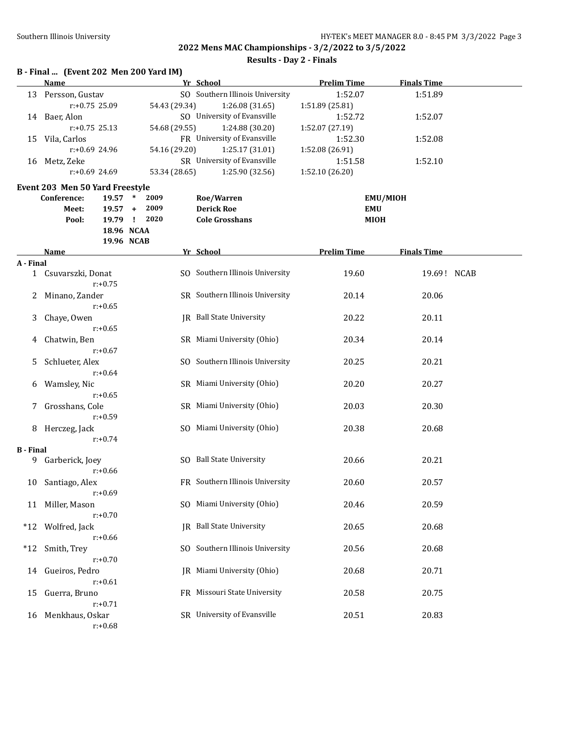**Results - Day 2 - Finals**

|                  | B - Final  (Event 202 Men 200 Yard IM)      |                      |                                 |                    |                    |
|------------------|---------------------------------------------|----------------------|---------------------------------|--------------------|--------------------|
|                  | Name                                        |                      | Yr School                       | <b>Prelim Time</b> | <b>Finals Time</b> |
| 13               | Persson, Gustav                             |                      | SO Southern Illinois University | 1:52.07            | 1:51.89            |
|                  | r:+0.75 25.09                               | 54.43 (29.34)        | 1:26.08 (31.65)                 | 1:51.89 (25.81)    |                    |
|                  | 14 Baer, Alon                               |                      | SO University of Evansville     | 1:52.72            | 1:52.07            |
|                  | $r: +0.75$ 25.13                            | 54.68 (29.55)        | 1:24.88 (30.20)                 | 1:52.07 (27.19)    |                    |
| 15               | Vila, Carlos                                |                      | FR University of Evansville     | 1:52.30            | 1:52.08            |
|                  | $r: +0.69$ 24.96                            | 54.16 (29.20)        | 1:25.17 (31.01)                 | 1:52.08 (26.91)    |                    |
|                  | 16 Metz, Zeke                               |                      | SR University of Evansville     | 1:51.58            | 1:52.10            |
|                  | r:+0.69 24.69                               | 53.34 (28.65)        | 1:25.90 (32.56)                 | 1:52.10 (26.20)    |                    |
|                  | Event 203 Men 50 Yard Freestyle             |                      |                                 |                    |                    |
|                  | Conference:<br>19.57 *                      | 2009                 | Roe/Warren                      |                    | <b>EMU/MIOH</b>    |
|                  | Meet:<br>$19.57 +$                          | 2009<br>19.79 ! 2020 | <b>Derick Roe</b>               | <b>EMU</b>         |                    |
|                  | Pool:                                       | 18.96 NCAA           | <b>Cole Grosshans</b>           | <b>MIOH</b>        |                    |
|                  |                                             | 19.96 NCAB           |                                 |                    |                    |
|                  | Name                                        |                      | Yr School                       | <b>Prelim Time</b> | <b>Finals Time</b> |
| A - Final        |                                             |                      |                                 |                    |                    |
|                  | 1 Csuvarszki, Donat<br>$r: +0.75$           |                      | SO Southern Illinois University | 19.60              | 19.69! NCAB        |
| 2                | Minano, Zander<br>$r: +0.65$                |                      | SR Southern Illinois University | 20.14              | 20.06              |
| 3                | Chaye, Owen<br>$r: +0.65$                   |                      | <b>IR</b> Ball State University | 20.22              | 20.11              |
| 4                | Chatwin, Ben                                |                      | SR Miami University (Ohio)      | 20.34              | 20.14              |
| 5                | $r: +0.67$<br>Schlueter, Alex               |                      | SO Southern Illinois University | 20.25              | 20.21              |
|                  | $r: +0.64$                                  |                      |                                 |                    |                    |
| 6                | Wamsley, Nic<br>$r: +0.65$                  |                      | SR Miami University (Ohio)      | 20.20              | 20.27              |
| 7                | Grosshans, Cole<br>$r: +0.59$               |                      | SR Miami University (Ohio)      | 20.03              | 20.30              |
|                  | 8 Herczeg, Jack                             |                      | SO Miami University (Ohio)      | 20.38              | 20.68              |
| <b>B</b> - Final | $r: +0.74$                                  |                      |                                 |                    |                    |
| 9                | Garberick, Joey<br>$r: +0.66$               |                      | SO Ball State University        | 20.66              | 20.21              |
| 10               | Santiago, Alex<br>$r: +0.69$                |                      | FR Southern Illinois University | 20.60              | 20.57              |
| 11               | Miller, Mason<br>$r: +0.70$                 |                      | SO Miami University (Ohio)      | 20.46              | 20.59              |
| $*12$            | Wolfred, Jack                               |                      | JR Ball State University        | 20.65              | 20.68              |
| $*12$            | $r: +0.66$<br>Smith, Trey                   | SO.                  | Southern Illinois University    | 20.56              | 20.68              |
| 14               | $r: +0.70$<br>Gueiros, Pedro                |                      | JR Miami University (Ohio)      | 20.68              | 20.71              |
| 15               | $r: +0.61$<br>Guerra, Bruno                 |                      | FR Missouri State University    | 20.58              | 20.75              |
| 16               | $r: +0.71$<br>Menkhaus, Oskar<br>$r: +0.68$ |                      | SR University of Evansville     | 20.51              | 20.83              |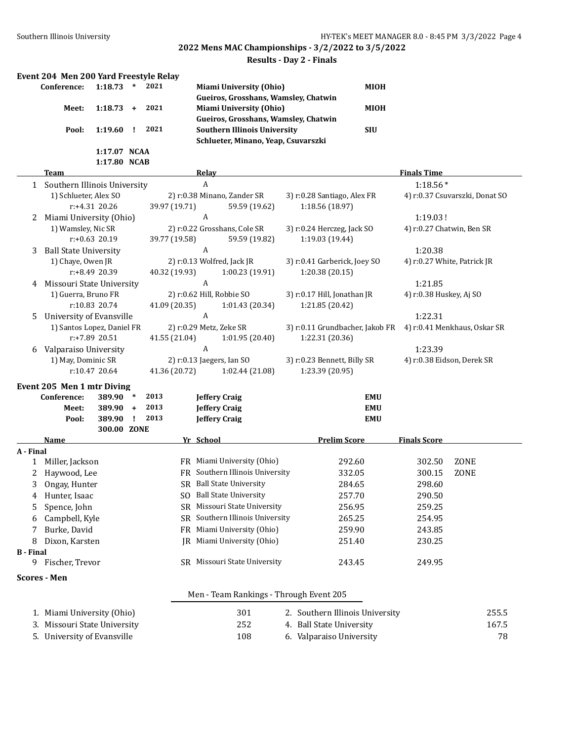#### **Results - Day 2 - Finals**

|                  | Event 204 Men 200 Yard Freestyle Relay            |                  |           |      |               |                            |                                         |                                 |             |                                        |      |       |
|------------------|---------------------------------------------------|------------------|-----------|------|---------------|----------------------------|-----------------------------------------|---------------------------------|-------------|----------------------------------------|------|-------|
|                  | Conference:                                       | 1:18.73          | $\ast$    | 2021 |               |                            | <b>Miami University (Ohio)</b>          |                                 | <b>MIOH</b> |                                        |      |       |
|                  |                                                   |                  |           |      |               |                            | Gueiros, Grosshans, Wamsley, Chatwin    |                                 |             |                                        |      |       |
|                  | Meet:                                             | 1:18.73          | $\ddot{}$ | 2021 |               |                            | <b>Miami University (Ohio)</b>          |                                 | <b>MIOH</b> |                                        |      |       |
|                  |                                                   |                  |           |      |               |                            | Gueiros, Grosshans, Wamsley, Chatwin    |                                 |             |                                        |      |       |
|                  | Pool:                                             | 1:19.60          | I.        | 2021 |               |                            | <b>Southern Illinois University</b>     |                                 | <b>SIU</b>  |                                        |      |       |
|                  |                                                   |                  |           |      |               |                            | Schlueter, Minano, Yeap, Csuvarszki     |                                 |             |                                        |      |       |
|                  |                                                   | 1:17.07 NCAA     |           |      |               |                            |                                         |                                 |             |                                        |      |       |
|                  |                                                   | 1:17.80 NCAB     |           |      |               |                            |                                         |                                 |             |                                        |      |       |
|                  | Team                                              |                  |           |      |               | <b>Relay</b>               |                                         |                                 |             | <b>Finals Time</b>                     |      |       |
|                  | 1 Southern Illinois University                    |                  |           |      |               | A                          |                                         |                                 |             | $1:18.56*$                             |      |       |
|                  | 1) Schlueter, Alex SO                             |                  |           |      |               |                            | 2) r:0.38 Minano, Zander SR             | 3) r:0.28 Santiago, Alex FR     |             | 4) r:0.37 Csuvarszki, Donat SO         |      |       |
|                  |                                                   | r:+4.31 20.26    |           |      | 39.97 (19.71) |                            | 59.59 (19.62)                           | 1:18.56 (18.97)                 |             |                                        |      |       |
| 2                | Miami University (Ohio)                           |                  |           |      |               | A                          |                                         |                                 |             | 1:19.03!                               |      |       |
|                  | 1) Wamsley, Nic SR                                |                  |           |      |               |                            | 2) r:0.22 Grosshans, Cole SR            | 3) r:0.24 Herczeg, Jack SO      |             | 4) r:0.27 Chatwin, Ben SR              |      |       |
|                  |                                                   | $r: +0.63$ 20.19 |           |      | 39.77 (19.58) | A                          | 59.59 (19.82)                           | 1:19.03 (19.44)                 |             |                                        |      |       |
| 3                | <b>Ball State University</b><br>1) Chaye, Owen JR |                  |           |      |               | 2) r:0.13 Wolfred, Jack JR |                                         | 3) r:0.41 Garberick, Joey SO    |             | 1:20.38<br>4) r:0.27 White, Patrick JR |      |       |
|                  |                                                   | r:+8.49 20.39    |           |      | 40.32 (19.93) |                            | 1:00.23 (19.91)                         | 1:20.38 (20.15)                 |             |                                        |      |       |
| 4                | Missouri State University                         |                  |           |      |               | A                          |                                         |                                 |             | 1:21.85                                |      |       |
|                  | 1) Guerra, Bruno FR                               |                  |           |      |               | 2) r:0.62 Hill, Robbie SO  |                                         | 3) r:0.17 Hill, Jonathan JR     |             | 4) r:0.38 Huskey, Aj SO                |      |       |
|                  |                                                   | r:10.83 20.74    |           |      | 41.09 (20.35) |                            | 1:01.43 (20.34)                         | 1:21.85 (20.42)                 |             |                                        |      |       |
| 5                | University of Evansville                          |                  |           |      |               | A                          |                                         |                                 |             | 1:22.31                                |      |       |
|                  | 1) Santos Lopez, Daniel FR                        |                  |           |      |               | 2) r:0.29 Metz, Zeke SR    |                                         | 3) r:0.11 Grundbacher, Jakob FR |             | 4) r:0.41 Menkhaus, Oskar SR           |      |       |
|                  |                                                   | $r: +7.89$ 20.51 |           |      | 41.55 (21.04) |                            | 1:01.95 (20.40)                         | 1:22.31 (20.36)                 |             |                                        |      |       |
| 6                | Valparaiso University                             |                  |           |      |               | A                          |                                         |                                 |             | 1:23.39                                |      |       |
|                  | 1) May, Dominic SR                                |                  |           |      |               | 2) r:0.13 Jaegers, Ian SO  |                                         | 3) r:0.23 Bennett, Billy SR     |             | 4) r:0.38 Eidson, Derek SR             |      |       |
|                  |                                                   | r:10.47 20.64    |           |      | 41.36 (20.72) |                            | 1:02.44 (21.08)                         | 1:23.39 (20.95)                 |             |                                        |      |       |
|                  | Event 205 Men 1 mtr Diving                        |                  |           |      |               |                            |                                         |                                 |             |                                        |      |       |
|                  | Conference:                                       | 389.90           | $\ast$    | 2013 |               | <b>Jeffery Craig</b>       |                                         |                                 | <b>EMU</b>  |                                        |      |       |
|                  | Meet:                                             | 389.90 +         |           | 2013 |               | <b>Jeffery Craig</b>       |                                         |                                 | <b>EMU</b>  |                                        |      |       |
|                  | Pool:                                             | 389.90           | Ι.        | 2013 |               | <b>Jeffery Craig</b>       |                                         |                                 | <b>EMU</b>  |                                        |      |       |
|                  |                                                   | 300.00 ZONE      |           |      |               |                            |                                         |                                 |             |                                        |      |       |
|                  | <b>Name</b>                                       |                  |           |      |               | Yr School                  |                                         | <b>Prelim Score</b>             |             | <b>Finals Score</b>                    |      |       |
| A - Final        |                                                   |                  |           |      |               |                            |                                         |                                 |             |                                        |      |       |
| $\mathbf{1}$     | Miller, Jackson                                   |                  |           |      |               |                            | FR Miami University (Ohio)              | 292.60                          |             | 302.50                                 | ZONE |       |
| 2                | Haywood, Lee                                      |                  |           |      |               |                            | FR Southern Illinois University         | 332.05                          |             | 300.15                                 | ZONE |       |
| 3                | Ongay, Hunter                                     |                  |           |      |               |                            | SR Ball State University                | 284.65                          |             | 298.60                                 |      |       |
| 4                | Hunter, Isaac                                     |                  |           |      |               |                            | SO Ball State University                | 257.70                          |             | 290.50                                 |      |       |
| 5                | Spence, John                                      |                  |           |      | SR            |                            | Missouri State University               | 256.95                          |             | 259.25                                 |      |       |
| 6                | Campbell, Kyle                                    |                  |           |      | SR            |                            | Southern Illinois University            | 265.25                          |             | 254.95                                 |      |       |
| 7                | Burke, David                                      |                  |           |      | FR            |                            | Miami University (Ohio)                 | 259.90                          |             | 243.85                                 |      |       |
| 8                | Dixon, Karsten                                    |                  |           |      | IR            |                            | Miami University (Ohio)                 | 251.40                          |             | 230.25                                 |      |       |
| <b>B</b> - Final |                                                   |                  |           |      |               |                            |                                         |                                 |             |                                        |      |       |
| 9                | Fischer, Trevor                                   |                  |           |      |               |                            | SR Missouri State University            | 243.45                          |             | 249.95                                 |      |       |
|                  | <b>Scores - Men</b>                               |                  |           |      |               |                            |                                         |                                 |             |                                        |      |       |
|                  |                                                   |                  |           |      |               |                            | Men - Team Rankings - Through Event 205 |                                 |             |                                        |      |       |
|                  |                                                   |                  |           |      |               |                            | 301                                     |                                 |             |                                        |      | 255.5 |
|                  | 1. Miami University (Ohio)                        |                  |           |      |               |                            | 252                                     | 2. Southern Illinois University |             |                                        |      |       |
|                  | 3. Missouri State University                      |                  |           |      |               |                            | 108                                     | 4. Ball State University        |             |                                        |      | 167.5 |
|                  | 5. University of Evansville                       |                  |           |      |               |                            |                                         | 6. Valparaiso University        |             |                                        |      | 78    |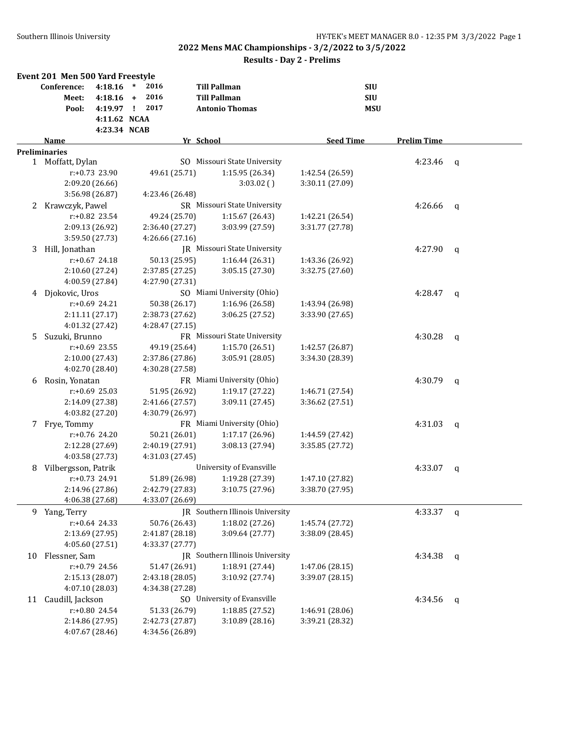|    | Event 201 Men 500 Yard Freestyle |                  |        |                 |                                 |                  |            |                    |             |
|----|----------------------------------|------------------|--------|-----------------|---------------------------------|------------------|------------|--------------------|-------------|
|    | Conference:                      | 4:18.16          | $\ast$ | 2016            | <b>Till Pallman</b>             |                  | <b>SIU</b> |                    |             |
|    | Meet:                            | $4:18.16 +$      |        | 2016            | <b>Till Pallman</b>             |                  | <b>SIU</b> |                    |             |
|    | Pool:                            | 4:19.97 !        |        | 2017            | <b>Antonio Thomas</b>           |                  | <b>MSU</b> |                    |             |
|    |                                  | 4:11.62 NCAA     |        |                 |                                 |                  |            |                    |             |
|    |                                  | 4:23.34 NCAB     |        |                 |                                 |                  |            |                    |             |
|    | <b>Name</b>                      |                  |        |                 | Yr School                       | <b>Seed Time</b> |            | <b>Prelim Time</b> |             |
|    | <b>Preliminaries</b>             |                  |        |                 |                                 |                  |            |                    |             |
|    | 1 Moffatt, Dylan                 |                  |        |                 | SO Missouri State University    |                  |            | 4:23.46            | q           |
|    |                                  | r:+0.73 23.90    |        | 49.61 (25.71)   | 1:15.95 (26.34)                 | 1:42.54 (26.59)  |            |                    |             |
|    |                                  | 2:09.20 (26.66)  |        |                 | $3:03.02$ ()                    | 3:30.11 (27.09)  |            |                    |             |
|    |                                  | 3:56.98 (26.87)  |        | 4:23.46 (26.48) |                                 |                  |            |                    |             |
| 2  | Krawczyk, Pawel                  |                  |        |                 | SR Missouri State University    |                  |            | 4:26.66            | q           |
|    |                                  | r:+0.82 23.54    |        | 49.24 (25.70)   | 1:15.67 (26.43)                 | 1:42.21 (26.54)  |            |                    |             |
|    |                                  | 2:09.13 (26.92)  |        | 2:36.40 (27.27) | 3:03.99 (27.59)                 | 3:31.77 (27.78)  |            |                    |             |
|    |                                  | 3:59.50 (27.73)  |        | 4:26.66 (27.16) |                                 |                  |            |                    |             |
| 3  | Hill, Jonathan                   |                  |        |                 | JR Missouri State University    |                  |            | 4:27.90            | q           |
|    |                                  | $r: +0.67$ 24.18 |        | 50.13 (25.95)   | 1:16.44(26.31)                  | 1:43.36 (26.92)  |            |                    |             |
|    |                                  | 2:10.60 (27.24)  |        | 2:37.85 (27.25) | 3:05.15 (27.30)                 | 3:32.75 (27.60)  |            |                    |             |
|    |                                  | 4:00.59 (27.84)  |        | 4:27.90 (27.31) |                                 |                  |            |                    |             |
| 4  | Djokovic, Uros                   |                  |        |                 | SO Miami University (Ohio)      |                  |            | 4:28.47            | q           |
|    |                                  | r:+0.69 24.21    |        | 50.38 (26.17)   | 1:16.96 (26.58)                 | 1:43.94 (26.98)  |            |                    |             |
|    |                                  | 2:11.11 (27.17)  |        | 2:38.73 (27.62) | 3:06.25 (27.52)                 | 3:33.90 (27.65)  |            |                    |             |
|    |                                  | 4:01.32 (27.42)  |        | 4:28.47 (27.15) |                                 |                  |            |                    |             |
| 5  | Suzuki, Brunno                   |                  |        |                 | FR Missouri State University    |                  |            | 4:30.28            |             |
|    |                                  | r:+0.69 23.55    |        | 49.19 (25.64)   | 1:15.70 (26.51)                 | 1:42.57 (26.87)  |            |                    | q           |
|    |                                  | 2:10.00 (27.43)  |        | 2:37.86 (27.86) | 3:05.91 (28.05)                 | 3:34.30 (28.39)  |            |                    |             |
|    |                                  | 4:02.70 (28.40)  |        | 4:30.28 (27.58) |                                 |                  |            |                    |             |
| 6  | Rosin, Yonatan                   |                  |        |                 | FR Miami University (Ohio)      |                  |            | 4:30.79            |             |
|    |                                  | $r: +0.69$ 25.03 |        | 51.95 (26.92)   | 1:19.17 (27.22)                 | 1:46.71 (27.54)  |            |                    | q           |
|    |                                  | 2:14.09 (27.38)  |        | 2:41.66 (27.57) | 3:09.11 (27.45)                 | 3:36.62 (27.51)  |            |                    |             |
|    |                                  | 4:03.82 (27.20)  |        | 4:30.79 (26.97) |                                 |                  |            |                    |             |
| 7  | Frye, Tommy                      |                  |        |                 | FR Miami University (Ohio)      |                  |            | 4:31.03            |             |
|    |                                  | r:+0.76 24.20    |        | 50.21 (26.01)   | 1:17.17 (26.96)                 | 1:44.59 (27.42)  |            |                    | q           |
|    |                                  | 2:12.28 (27.69)  |        | 2:40.19 (27.91) | 3:08.13 (27.94)                 | 3:35.85 (27.72)  |            |                    |             |
|    |                                  | 4:03.58 (27.73)  |        | 4:31.03 (27.45) |                                 |                  |            |                    |             |
|    | Vilbergsson, Patrik              |                  |        |                 | University of Evansville        |                  |            | 4:33.07            |             |
| 8  |                                  | r:+0.73 24.91    |        |                 | 1:19.28 (27.39)                 |                  |            |                    | $\mathbf q$ |
|    |                                  |                  |        | 51.89 (26.98)   |                                 | 1:47.10 (27.82)  |            |                    |             |
|    |                                  | 2:14.96 (27.86)  |        | 2:42.79 (27.83) | 3:10.75 (27.96)                 | 3:38.70 (27.95)  |            |                    |             |
|    |                                  | 4:06.38 (27.68)  |        | 4:33.07 (26.69) | JR Southern Illinois University |                  |            |                    |             |
| 9. | Yang, Terry                      | $r: +0.64$ 24.33 |        | 50.76 (26.43)   |                                 |                  |            | 4:33.37            | q           |
|    |                                  |                  |        |                 | 1:18.02 (27.26)                 | 1:45.74 (27.72)  |            |                    |             |
|    |                                  | 2:13.69 (27.95)  |        | 2:41.87 (28.18) | 3:09.64 (27.77)                 | 3:38.09 (28.45)  |            |                    |             |
|    |                                  | 4:05.60 (27.51)  |        | 4:33.37 (27.77) |                                 |                  |            |                    |             |
| 10 | Flessner, Sam                    |                  |        |                 | JR Southern Illinois University |                  |            | 4:34.38            | q           |
|    |                                  | r:+0.79 24.56    |        | 51.47 (26.91)   | 1:18.91 (27.44)                 | 1:47.06 (28.15)  |            |                    |             |
|    |                                  | 2:15.13 (28.07)  |        | 2:43.18 (28.05) | 3:10.92 (27.74)                 | 3:39.07 (28.15)  |            |                    |             |
|    |                                  | 4:07.10 (28.03)  |        | 4:34.38 (27.28) |                                 |                  |            |                    |             |
| 11 | Caudill, Jackson                 |                  |        |                 | SO University of Evansville     |                  |            | 4:34.56            | q           |
|    |                                  | r:+0.80 24.54    |        | 51.33 (26.79)   | 1:18.85 (27.52)                 | 1:46.91 (28.06)  |            |                    |             |
|    |                                  | 2:14.86 (27.95)  |        | 2:42.73 (27.87) | 3:10.89 (28.16)                 | 3:39.21 (28.32)  |            |                    |             |
|    |                                  | 4:07.67 (28.46)  |        | 4:34.56 (26.89) |                                 |                  |            |                    |             |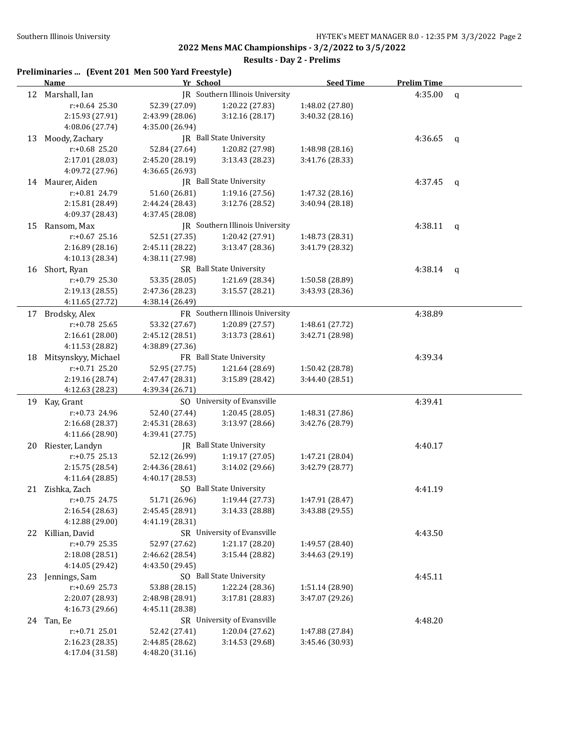|    | Preliminaries  (Event 201 Men 500 Yard Freestyle) |                 |                                 |                  |                    |                |
|----|---------------------------------------------------|-----------------|---------------------------------|------------------|--------------------|----------------|
|    | <b>Name</b>                                       | Yr School       |                                 | <b>Seed Time</b> | <b>Prelim Time</b> |                |
|    | 12 Marshall, Ian                                  |                 | IR Southern Illinois University |                  | 4:35.00            | q              |
|    | $r: +0.64$ 25.30                                  | 52.39 (27.09)   | 1:20.22 (27.83)                 | 1:48.02 (27.80)  |                    |                |
|    | 2:15.93 (27.91)                                   | 2:43.99 (28.06) | 3:12.16(28.17)                  | 3:40.32 (28.16)  |                    |                |
|    | 4:08.06 (27.74)                                   | 4:35.00 (26.94) |                                 |                  |                    |                |
| 13 | Moody, Zachary                                    |                 | JR Ball State University        |                  | 4:36.65            | $\mathfrak{q}$ |
|    | $r: +0.68$ 25.20                                  | 52.84 (27.64)   | 1:20.82 (27.98)                 | 1:48.98 (28.16)  |                    |                |
|    | 2:17.01 (28.03)                                   | 2:45.20 (28.19) | 3:13.43 (28.23)                 | 3:41.76 (28.33)  |                    |                |
|    | 4:09.72 (27.96)                                   | 4:36.65 (26.93) |                                 |                  |                    |                |
|    | 14 Maurer, Aiden                                  |                 | JR Ball State University        |                  | 4:37.45            | q              |
|    | r:+0.81 24.79                                     | 51.60 (26.81)   | 1:19.16 (27.56)                 | 1:47.32 (28.16)  |                    |                |
|    | 2:15.81 (28.49)                                   | 2:44.24 (28.43) | 3:12.76 (28.52)                 | 3:40.94 (28.18)  |                    |                |
|    | 4:09.37 (28.43)                                   | 4:37.45 (28.08) |                                 |                  |                    |                |
| 15 | Ransom, Max                                       |                 | JR Southern Illinois University |                  | 4:38.11            | q              |
|    | $r: +0.67$ 25.16                                  | 52.51 (27.35)   | 1:20.42 (27.91)                 | 1:48.73 (28.31)  |                    |                |
|    | 2:16.89 (28.16)                                   | 2:45.11 (28.22) | 3:13.47 (28.36)                 | 3:41.79 (28.32)  |                    |                |
|    | 4:10.13 (28.34)                                   | 4:38.11 (27.98) |                                 |                  |                    |                |
|    | 16 Short, Ryan                                    |                 | SR Ball State University        |                  | 4:38.14            | q              |
|    | $r: +0.79$ 25.30                                  | 53.35 (28.05)   | 1:21.69 (28.34)                 | 1:50.58 (28.89)  |                    |                |
|    | 2:19.13 (28.55)                                   | 2:47.36 (28.23) | 3:15.57 (28.21)                 | 3:43.93 (28.36)  |                    |                |
|    | 4:11.65 (27.72)                                   | 4:38.14 (26.49) |                                 |                  |                    |                |
| 17 | Brodsky, Alex                                     |                 | FR Southern Illinois University |                  | 4:38.89            |                |
|    | $r: +0.78$ 25.65                                  | 53.32 (27.67)   | 1:20.89 (27.57)                 | 1:48.61 (27.72)  |                    |                |
|    | 2:16.61 (28.00)                                   | 2:45.12 (28.51) | 3:13.73 (28.61)                 | 3:42.71 (28.98)  |                    |                |
|    | 4:11.53 (28.82)                                   | 4:38.89 (27.36) |                                 |                  |                    |                |
| 18 | Mitsynskyy, Michael                               |                 | FR Ball State University        |                  | 4:39.34            |                |
|    | $r: +0.71$ 25.20                                  | 52.95 (27.75)   | 1:21.64 (28.69)                 | 1:50.42 (28.78)  |                    |                |
|    | 2:19.16 (28.74)                                   | 2:47.47 (28.31) | 3:15.89 (28.42)                 | 3:44.40 (28.51)  |                    |                |
|    | 4:12.63 (28.23)                                   | 4:39.34 (26.71) |                                 |                  |                    |                |
| 19 | Kay, Grant                                        |                 | SO University of Evansville     |                  | 4:39.41            |                |
|    | r:+0.73 24.96                                     | 52.40 (27.44)   | 1:20.45 (28.05)                 | 1:48.31 (27.86)  |                    |                |
|    | 2:16.68 (28.37)                                   | 2:45.31 (28.63) | 3:13.97 (28.66)                 | 3:42.76 (28.79)  |                    |                |
|    | 4:11.66 (28.90)                                   | 4:39.41 (27.75) |                                 |                  |                    |                |
| 20 | Riester, Landyn                                   |                 | JR Ball State University        |                  | 4:40.17            |                |
|    | $r: +0.75$ 25.13                                  | 52.12 (26.99)   | 1:19.17(27.05)                  | 1:47.21 (28.04)  |                    |                |
|    | 2:15.75 (28.54)                                   | 2:44.36 (28.61) | 3:14.02 (29.66)                 | 3:42.79 (28.77)  |                    |                |
|    | 4:11.64 (28.85)                                   | 4:40.17 (28.53) |                                 |                  |                    |                |
|    | 21 Zishka, Zach                                   |                 | SO Ball State University        |                  | 4:41.19            |                |
|    | $r: +0.75$ 24.75                                  | 51.71 (26.96)   | 1:19.44 (27.73)                 | 1:47.91 (28.47)  |                    |                |
|    | 2:16.54 (28.63)                                   | 2:45.45 (28.91) | 3:14.33 (28.88)                 | 3:43.88 (29.55)  |                    |                |
|    | 4:12.88 (29.00)                                   | 4:41.19 (28.31) |                                 |                  |                    |                |
|    | 22 Killian, David                                 |                 | SR University of Evansville     |                  | 4:43.50            |                |
|    | r:+0.79 25.35                                     | 52.97 (27.62)   | 1:21.17 (28.20)                 | 1:49.57 (28.40)  |                    |                |
|    | 2:18.08 (28.51)                                   | 2:46.62 (28.54) | 3:15.44 (28.82)                 | 3:44.63 (29.19)  |                    |                |
|    | 4:14.05 (29.42)                                   | 4:43.50 (29.45) |                                 |                  |                    |                |
| 23 | Jennings, Sam                                     |                 | SO Ball State University        |                  | 4:45.11            |                |
|    | $r: +0.69$ 25.73                                  | 53.88 (28.15)   | 1:22.24 (28.36)                 | 1:51.14 (28.90)  |                    |                |
|    | 2:20.07 (28.93)                                   | 2:48.98 (28.91) | 3:17.81 (28.83)                 | 3:47.07 (29.26)  |                    |                |
|    | 4:16.73 (29.66)                                   | 4:45.11 (28.38) |                                 |                  |                    |                |
|    | 24 Tan, Ee                                        |                 | SR University of Evansville     |                  | 4:48.20            |                |
|    | $r: +0.71$ 25.01                                  | 52.42 (27.41)   | 1:20.04 (27.62)                 | 1:47.88 (27.84)  |                    |                |
|    | 2:16.23 (28.35)                                   | 2:44.85 (28.62) | 3:14.53 (29.68)                 | 3:45.46 (30.93)  |                    |                |
|    | 4:17.04 (31.58)                                   | 4:48.20 (31.16) |                                 |                  |                    |                |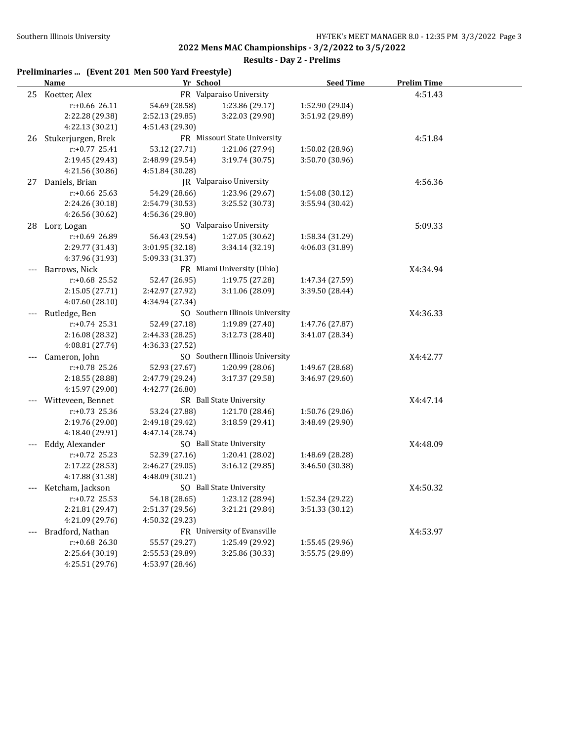|       | Preliminaries  (Event 201 Men 500 Yard Freestyle) |                 |                                 |                  |                    |  |
|-------|---------------------------------------------------|-----------------|---------------------------------|------------------|--------------------|--|
|       | <b>Name</b>                                       | Yr School       |                                 | <b>Seed Time</b> | <b>Prelim Time</b> |  |
|       | 25 Koetter, Alex                                  |                 | FR Valparaiso University        |                  | 4:51.43            |  |
|       | r:+0.66 26.11                                     | 54.69 (28.58)   | 1:23.86 (29.17)                 | 1:52.90 (29.04)  |                    |  |
|       | 2:22.28 (29.38)                                   | 2:52.13 (29.85) | 3:22.03 (29.90)                 | 3:51.92 (29.89)  |                    |  |
|       | 4:22.13 (30.21)                                   | 4:51.43 (29.30) |                                 |                  |                    |  |
| 26    | Stukerjurgen, Brek                                |                 | FR Missouri State University    |                  | 4:51.84            |  |
|       | r:+0.77 25.41                                     | 53.12 (27.71)   | 1:21.06 (27.94)                 | 1:50.02 (28.96)  |                    |  |
|       | 2:19.45 (29.43)                                   | 2:48.99 (29.54) | 3:19.74 (30.75)                 | 3:50.70 (30.96)  |                    |  |
|       | 4:21.56 (30.86)                                   | 4:51.84 (30.28) |                                 |                  |                    |  |
| 27    | Daniels, Brian                                    |                 | JR Valparaiso University        |                  | 4:56.36            |  |
|       | r:+0.66 25.63                                     | 54.29 (28.66)   | 1:23.96 (29.67)                 | 1:54.08 (30.12)  |                    |  |
|       | 2:24.26 (30.18)                                   | 2:54.79 (30.53) | 3:25.52 (30.73)                 | 3:55.94 (30.42)  |                    |  |
|       | 4:26.56 (30.62)                                   | 4:56.36 (29.80) |                                 |                  |                    |  |
|       | 28 Lorr, Logan                                    |                 | SO Valparaiso University        |                  | 5:09.33            |  |
|       | r:+0.69 26.89                                     | 56.43 (29.54)   | 1:27.05 (30.62)                 | 1:58.34 (31.29)  |                    |  |
|       | 2:29.77 (31.43)                                   | 3:01.95 (32.18) | 3:34.14 (32.19)                 | 4:06.03 (31.89)  |                    |  |
|       | 4:37.96 (31.93)                                   | 5:09.33 (31.37) |                                 |                  |                    |  |
|       | Barrows, Nick                                     |                 | FR Miami University (Ohio)      |                  | X4:34.94           |  |
|       | $r: +0.68$ 25.52                                  | 52.47 (26.95)   | 1:19.75 (27.28)                 | 1:47.34 (27.59)  |                    |  |
|       | 2:15.05 (27.71)                                   | 2:42.97 (27.92) | 3:11.06 (28.09)                 | 3:39.50 (28.44)  |                    |  |
|       | 4:07.60 (28.10)                                   | 4:34.94 (27.34) |                                 |                  |                    |  |
| $---$ | Rutledge, Ben                                     |                 | SO Southern Illinois University |                  | X4:36.33           |  |
|       | r:+0.74 25.31                                     | 52.49 (27.18)   | 1:19.89 (27.40)                 | 1:47.76 (27.87)  |                    |  |
|       | 2:16.08 (28.32)                                   | 2:44.33 (28.25) | 3:12.73 (28.40)                 | 3:41.07 (28.34)  |                    |  |
|       | 4:08.81 (27.74)                                   | 4:36.33 (27.52) |                                 |                  |                    |  |
|       | Cameron, John                                     |                 | SO Southern Illinois University |                  | X4:42.77           |  |
|       | r:+0.78 25.26                                     | 52.93 (27.67)   | 1:20.99 (28.06)                 | 1:49.67 (28.68)  |                    |  |
|       | 2:18.55 (28.88)                                   | 2:47.79 (29.24) | 3:17.37 (29.58)                 | 3:46.97 (29.60)  |                    |  |
|       | 4:15.97 (29.00)                                   | 4:42.77 (26.80) |                                 |                  |                    |  |
|       | --- Witteveen, Bennet                             |                 | SR Ball State University        |                  | X4:47.14           |  |
|       | r:+0.73 25.36                                     | 53.24 (27.88)   | 1:21.70 (28.46)                 | 1:50.76 (29.06)  |                    |  |
|       | 2:19.76 (29.00)                                   | 2:49.18 (29.42) | 3:18.59 (29.41)                 | 3:48.49 (29.90)  |                    |  |
|       | 4:18.40 (29.91)                                   | 4:47.14 (28.74) |                                 |                  |                    |  |
|       | Eddy, Alexander                                   |                 | SO Ball State University        |                  | X4:48.09           |  |
|       | r:+0.72 25.23                                     | 52.39 (27.16)   | 1:20.41 (28.02)                 | 1:48.69 (28.28)  |                    |  |
|       | 2:17.22 (28.53)                                   | 2:46.27 (29.05) | 3:16.12 (29.85)                 | 3:46.50 (30.38)  |                    |  |
|       | 4:17.88 (31.38)                                   | 4:48.09 (30.21) |                                 |                  |                    |  |
|       | Ketcham, Jackson                                  |                 | SO Ball State University        |                  | X4:50.32           |  |
|       | r:+0.72 25.53                                     | 54.18 (28.65)   | 1:23.12 (28.94)                 | 1:52.34 (29.22)  |                    |  |
|       | 2:21.81 (29.47)                                   | 2:51.37 (29.56) | 3:21.21 (29.84)                 | 3:51.33 (30.12)  |                    |  |
|       | 4:21.09 (29.76)                                   | 4:50.32 (29.23) |                                 |                  |                    |  |
|       | Bradford, Nathan                                  |                 | FR University of Evansville     |                  | X4:53.97           |  |
|       | r:+0.68 26.30                                     | 55.57 (29.27)   | 1:25.49 (29.92)                 | 1:55.45 (29.96)  |                    |  |
|       | 2:25.64 (30.19)                                   | 2:55.53 (29.89) | 3:25.86 (30.33)                 | 3:55.75 (29.89)  |                    |  |
|       | 4:25.51 (29.76)                                   | 4:53.97 (28.46) |                                 |                  |                    |  |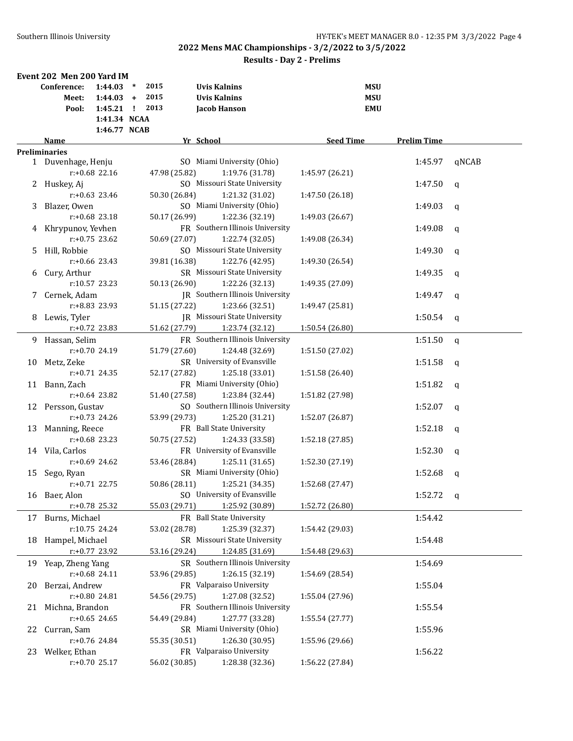|    | Event 202 Men 200 Yard IM |                  |        |               |                                     |                 |                  |            |                    |             |
|----|---------------------------|------------------|--------|---------------|-------------------------------------|-----------------|------------------|------------|--------------------|-------------|
|    | Conference:               | 1:44.03          | $\ast$ | 2015          | <b>Uvis Kalnins</b>                 |                 |                  | <b>MSU</b> |                    |             |
|    | Meet:                     | $1:44.03 +$      |        | 2015          | <b>Uvis Kalnins</b>                 |                 |                  | <b>MSU</b> |                    |             |
|    | Pool:                     | $1:45.21$ !      |        | 2013          | Jacob Hanson                        |                 |                  | <b>EMU</b> |                    |             |
|    |                           | 1:41.34 NCAA     |        |               |                                     |                 |                  |            |                    |             |
|    |                           | 1:46.77 NCAB     |        |               |                                     |                 |                  |            |                    |             |
|    | Name                      |                  |        |               | Yr School                           |                 | <b>Seed Time</b> |            | <b>Prelim Time</b> |             |
|    | <b>Preliminaries</b>      |                  |        |               |                                     |                 |                  |            |                    |             |
|    | 1 Duvenhage, Henju        |                  |        |               | SO Miami University (Ohio)          |                 |                  |            | 1:45.97            | qNCAB       |
|    |                           | $r: +0.68$ 22.16 |        | 47.98 (25.82) |                                     | 1:19.76 (31.78) | 1:45.97 (26.21)  |            |                    |             |
|    | 2 Huskey, Aj              |                  |        |               | SO Missouri State University        |                 |                  |            | 1:47.50            | q           |
|    |                           | $r: +0.63$ 23.46 |        | 50.30 (26.84) |                                     | 1:21.32 (31.02) | 1:47.50 (26.18)  |            |                    |             |
| 3  | Blazer, Owen              |                  |        |               | SO Miami University (Ohio)          |                 |                  |            | 1:49.03            | q           |
|    |                           | $r: +0.68$ 23.18 |        | 50.17 (26.99) |                                     | 1:22.36 (32.19) | 1:49.03 (26.67)  |            |                    |             |
| 4  | Khrypunov, Yevhen         |                  |        |               | FR Southern Illinois University     |                 |                  |            | 1:49.08            | q           |
|    |                           | $r: +0.75$ 23.62 |        | 50.69 (27.07) |                                     | 1:22.74 (32.05) | 1:49.08 (26.34)  |            |                    |             |
| 5. | Hill, Robbie              |                  |        |               | SO Missouri State University        |                 |                  |            | 1:49.30            | $\mathbf q$ |
|    |                           | $r: +0.66$ 23.43 |        | 39.81 (16.38) |                                     | 1:22.76 (42.95) | 1:49.30 (26.54)  |            |                    |             |
| 6  | Cury, Arthur              |                  |        |               | SR Missouri State University        |                 |                  |            | 1:49.35            | q           |
|    |                           | r:10.57 23.23    |        | 50.13 (26.90) |                                     | 1:22.26 (32.13) | 1:49.35 (27.09)  |            |                    |             |
| 7  | Cernek, Adam              |                  |        |               | JR Southern Illinois University     |                 |                  |            | 1:49.47            | q           |
|    |                           | r:+8.83 23.93    |        | 51.15 (27.22) |                                     | 1:23.66 (32.51) | 1:49.47 (25.81)  |            |                    |             |
| 8  | Lewis, Tyler              |                  |        |               | <b>IR</b> Missouri State University |                 |                  |            | 1:50.54            | q           |
|    |                           | r:+0.72 23.83    |        | 51.62 (27.79) |                                     | 1:23.74 (32.12) | 1:50.54 (26.80)  |            |                    |             |
|    | 9 Hassan, Selim           |                  |        |               | FR Southern Illinois University     |                 |                  |            | 1:51.50            | $\mathbf q$ |
|    |                           | $r: +0.70$ 24.19 |        | 51.79 (27.60) |                                     | 1:24.48 (32.69) | 1:51.50 (27.02)  |            |                    |             |
| 10 | Metz, Zeke                |                  |        |               | SR University of Evansville         |                 |                  |            | 1:51.58            | q           |
|    |                           | $r: +0.71$ 24.35 |        | 52.17 (27.82) |                                     | 1:25.18 (33.01) | 1:51.58 (26.40)  |            |                    |             |
|    | 11 Bann, Zach             |                  |        |               | FR Miami University (Ohio)          |                 |                  |            | 1:51.82            | q           |
|    |                           | $r: +0.64$ 23.82 |        | 51.40 (27.58) |                                     | 1:23.84 (32.44) | 1:51.82 (27.98)  |            |                    |             |
|    | 12 Persson, Gustav        |                  |        |               | SO Southern Illinois University     |                 |                  |            | 1:52.07            | q           |
|    |                           | $r: +0.73$ 24.26 |        | 53.99 (29.73) |                                     | 1:25.20 (31.21) | 1:52.07 (26.87)  |            |                    |             |
| 13 | Manning, Reece            |                  |        |               | FR Ball State University            |                 |                  |            | 1:52.18            |             |
|    |                           | $r: +0.68$ 23.23 |        | 50.75 (27.52) |                                     | 1:24.33 (33.58) | 1:52.18 (27.85)  |            |                    | $\mathbf q$ |
|    |                           |                  |        |               | FR University of Evansville         |                 |                  |            | 1:52.30            |             |
|    | 14 Vila, Carlos           | $r: +0.69$ 24.62 |        | 53.46 (28.84) |                                     | 1:25.11 (31.65) | 1:52.30 (27.19)  |            |                    | q           |
|    |                           |                  |        |               | SR Miami University (Ohio)          |                 |                  |            |                    |             |
| 15 | Sego, Ryan                | $r: +0.71$ 22.75 |        |               |                                     | 1:25.21 (34.35) | 1:52.68 (27.47)  |            | 1:52.68            | q           |
|    |                           |                  |        | 50.86 (28.11) | SO University of Evansville         |                 |                  |            |                    |             |
|    | 16 Baer, Alon             | r:+0.78 25.32    |        | 55.03 (29.71) |                                     | 1:25.92 (30.89) | 1:52.72 (26.80)  |            | 1:52.72            | q           |
|    |                           |                  |        |               |                                     |                 |                  |            |                    |             |
| 17 | Burns, Michael            |                  |        |               | FR Ball State University            |                 |                  |            | 1:54.42            |             |
|    |                           | r:10.75 24.24    |        | 53.02 (28.78) |                                     | 1:25.39 (32.37) | 1:54.42 (29.03)  |            |                    |             |
| 18 | Hampel, Michael           |                  |        |               | SR Missouri State University        |                 |                  |            | 1:54.48            |             |
|    |                           | $r: +0.77$ 23.92 |        | 53.16 (29.24) |                                     | 1:24.85 (31.69) | 1:54.48 (29.63)  |            |                    |             |
| 19 | Yeap, Zheng Yang          |                  |        |               | SR Southern Illinois University     |                 |                  |            | 1:54.69            |             |
|    |                           | r:+0.68 24.11    |        | 53.96 (29.85) |                                     | 1:26.15 (32.19) | 1:54.69 (28.54)  |            |                    |             |
| 20 | Berzai, Andrew            |                  |        |               | FR Valparaiso University            |                 |                  |            | 1:55.04            |             |
|    |                           | r:+0.80 24.81    |        | 54.56 (29.75) |                                     | 1:27.08 (32.52) | 1:55.04 (27.96)  |            |                    |             |
| 21 | Michna, Brandon           |                  |        |               | FR Southern Illinois University     |                 |                  |            | 1:55.54            |             |
|    |                           | $r: +0.65$ 24.65 |        | 54.49 (29.84) |                                     | 1:27.77 (33.28) | 1:55.54 (27.77)  |            |                    |             |
| 22 | Curran, Sam               |                  |        |               | SR Miami University (Ohio)          |                 |                  |            | 1:55.96            |             |
|    |                           | r:+0.76 24.84    |        | 55.35 (30.51) |                                     | 1:26.30 (30.95) | 1:55.96 (29.66)  |            |                    |             |
| 23 | Welker, Ethan             |                  |        |               | FR Valparaiso University            |                 |                  |            | 1:56.22            |             |
|    |                           | $r: +0.70$ 25.17 |        | 56.02 (30.85) |                                     | 1:28.38 (32.36) | 1:56.22 (27.84)  |            |                    |             |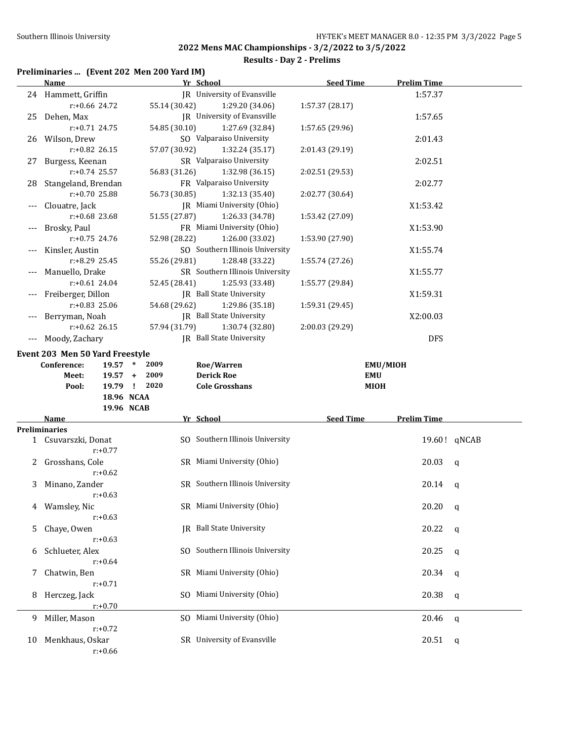#### **Results - Day 2 - Prelims**

#### **Preliminaries ... (Event 202 Men 200 Yard IM)**

|       | <b>Name</b>                     |               | Yr School                          | <b>Seed Time</b> | <b>Prelim Time</b> |             |
|-------|---------------------------------|---------------|------------------------------------|------------------|--------------------|-------------|
|       | 24 Hammett, Griffin             |               | <b>IR</b> University of Evansville |                  | 1:57.37            |             |
|       | r:+0.66 24.72                   | 55.14 (30.42) | 1:29.20 (34.06)                    | 1:57.37 (28.17)  |                    |             |
|       | 25 Dehen, Max                   |               | JR University of Evansville        |                  | 1:57.65            |             |
|       | $r: +0.71$ 24.75                | 54.85 (30.10) | 1:27.69 (32.84)                    | 1:57.65 (29.96)  |                    |             |
|       | 26 Wilson, Drew                 |               | SO Valparaiso University           |                  | 2:01.43            |             |
|       | r:+0.82 26.15                   | 57.07 (30.92) | 1:32.24 (35.17)                    | 2:01.43 (29.19)  |                    |             |
| 27    | Burgess, Keenan                 |               | SR Valparaiso University           |                  | 2:02.51            |             |
|       | $r: +0.74$ 25.57                | 56.83 (31.26) | 1:32.98 (36.15)                    | 2:02.51 (29.53)  |                    |             |
| 28    | Stangeland, Brendan             |               | FR Valparaiso University           |                  | 2:02.77            |             |
|       | r:+0.70 25.88                   | 56.73 (30.85) | 1:32.13 (35.40)                    | 2:02.77 (30.64)  |                    |             |
| ---   | Clouatre, Jack                  |               | JR Miami University (Ohio)         |                  | X1:53.42           |             |
|       | r:+0.68 23.68                   | 51.55 (27.87) | 1:26.33 (34.78)                    | 1:53.42 (27.09)  |                    |             |
|       | Brosky, Paul                    |               | FR Miami University (Ohio)         |                  | X1:53.90           |             |
|       | $r: +0.75$ 24.76                | 52.98 (28.22) | 1:26.00 (33.02)                    | 1:53.90 (27.90)  |                    |             |
| ---   | Kinsler, Austin                 |               | SO Southern Illinois University    |                  | X1:55.74           |             |
|       | $r: +8.29$ 25.45                | 55.26 (29.81) | 1:28.48 (33.22)                    | 1:55.74 (27.26)  |                    |             |
|       | Manuello, Drake                 |               | SR Southern Illinois University    |                  | X1:55.77           |             |
|       | $r: +0.61$ 24.04                | 52.45 (28.41) | 1:25.93 (33.48)                    | 1:55.77 (29.84)  |                    |             |
|       | Freiberger, Dillon              |               | JR Ball State University           |                  | X1:59.31           |             |
|       | $r: +0.83$ 25.06                | 54.68 (29.62) | 1:29.86 (35.18)                    | 1:59.31 (29.45)  |                    |             |
|       | Berryman, Noah                  |               | <b>IR</b> Ball State University    |                  | X2:00.03           |             |
|       | $r: +0.62$ 26.15                | 57.94 (31.79) | 1:30.74 (32.80)                    | 2:00.03 (29.29)  |                    |             |
| $---$ | Moody, Zachary                  |               | <b>IR</b> Ball State University    |                  | <b>DFS</b>         |             |
|       | Event 203 Men 50 Yard Freestyle |               |                                    |                  |                    |             |
|       | Conference:<br>$19.57$ *        |               |                                    |                  |                    |             |
|       |                                 |               |                                    |                  |                    |             |
|       |                                 | 2009          | Roe/Warren                         |                  | EMU/MIOH           |             |
|       | Meet:<br>$19.57 +$              | 2009          | <b>Derick Roe</b>                  | <b>EMU</b>       |                    |             |
|       | Pool:                           | 19.79 ! 2020  | <b>Cole Grosshans</b>              | <b>MIOH</b>      |                    |             |
|       | 18.96 NCAA<br>19.96 NCAB        |               |                                    |                  |                    |             |
|       | Name                            |               | Yr School                          | <b>Seed Time</b> | <b>Prelim Time</b> |             |
|       | <b>Preliminaries</b>            |               |                                    |                  |                    |             |
|       | 1 Csuvarszki, Donat             |               | SO Southern Illinois University    |                  | 19.60! qNCAB       |             |
|       | $r: +0.77$                      |               |                                    |                  |                    |             |
| 2     | Grosshans, Cole                 |               | SR Miami University (Ohio)         |                  | 20.03              | $\mathbf q$ |
|       | $r: +0.62$                      |               |                                    |                  |                    |             |
| 3     | Minano, Zander                  |               | SR Southern Illinois University    |                  | 20.14              | q           |
|       | $r: +0.63$                      |               |                                    |                  |                    |             |
| 4     | Wamsley, Nic                    |               | SR Miami University (Ohio)         |                  | 20.20              | $\mathbf q$ |
|       | $r: +0.63$                      |               |                                    |                  |                    |             |
| 5     | Chaye, Owen                     |               | JR Ball State University           |                  | 20.22              | $\mathbf q$ |
|       | $r: +0.63$                      |               |                                    |                  |                    |             |
| 6     | Schlueter, Alex                 |               | SO Southern Illinois University    |                  | 20.25              | q           |
|       | $r: +0.64$                      |               |                                    |                  |                    |             |
| 7     | Chatwin, Ben                    |               | SR Miami University (Ohio)         |                  | 20.34              | q           |
|       | $r: +0.71$                      |               |                                    |                  |                    |             |
| 8     | Herczeg, Jack                   | SO.           | Miami University (Ohio)            |                  | 20.38              | q           |
|       | $r: +0.70$                      |               |                                    |                  |                    |             |
| 9     | Miller, Mason                   |               | SO Miami University (Ohio)         |                  | 20.46              | q           |
|       | $r: +0.72$                      |               |                                    |                  |                    |             |
| 10    | Menkhaus, Oskar                 |               | SR University of Evansville        |                  | 20.51              | q           |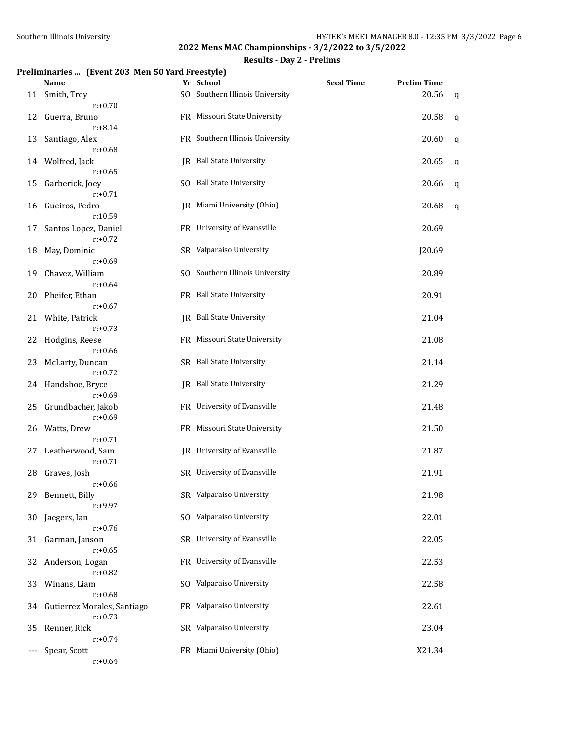#### **Results - Day 2 - Prelims**

#### **Preliminaries ... (Event 203 Men 50 Yard Freestyle)**

|     | Name                                      | Yr School                          | <b>Seed Time</b> | <b>Prelim Time</b> |             |
|-----|-------------------------------------------|------------------------------------|------------------|--------------------|-------------|
| 11  | Smith, Trey<br>$r: +0.70$                 | SO Southern Illinois University    |                  | 20.56              | $\mathbf q$ |
| 12  | Guerra, Bruno<br>$r: +8.14$               | FR Missouri State University       |                  | 20.58              | q           |
| 13  | Santiago, Alex<br>$r: +0.68$              | FR Southern Illinois University    |                  | 20.60              | q           |
| 14  | Wolfred, Jack                             | JR Ball State University           |                  | 20.65              | q           |
| 15  | $r: +0.65$<br>Garberick, Joey             | SO Ball State University           |                  | 20.66              | q           |
| 16  | $r: +0.71$<br>Gueiros, Pedro              | IR Miami University (Ohio)         |                  | 20.68              | q           |
| 17  | r:10.59<br>Santos Lopez, Daniel           | FR University of Evansville        |                  | 20.69              |             |
|     | $r: +0.72$                                |                                    |                  |                    |             |
| 18  | May, Dominic<br>$r: +0.69$                | SR Valparaiso University           |                  | J20.69             |             |
| 19  | Chavez, William                           | SO Southern Illinois University    |                  | 20.89              |             |
|     | $r: +0.64$                                |                                    |                  |                    |             |
| 20  | Pheifer, Ethan<br>$r: +0.67$              | FR Ball State University           |                  | 20.91              |             |
| 21  | White, Patrick<br>$r: +0.73$              | <b>IR</b> Ball State University    |                  | 21.04              |             |
| 22  | Hodgins, Reese<br>$r: +0.66$              | FR Missouri State University       |                  | 21.08              |             |
| 23  | McLarty, Duncan<br>$r: +0.72$             | SR Ball State University           |                  | 21.14              |             |
| 24  | Handshoe, Bryce                           | JR Ball State University           |                  | 21.29              |             |
| 25  | $r: +0.69$<br>Grundbacher, Jakob          | FR University of Evansville        |                  | 21.48              |             |
| 26  | $r: +0.69$<br>Watts, Drew                 | FR Missouri State University       |                  | 21.50              |             |
| 27  | $r: +0.71$<br>Leatherwood, Sam            | <b>IR</b> University of Evansville |                  | 21.87              |             |
| 28  | $r: +0.71$<br>Graves, Josh                | SR University of Evansville        |                  | 21.91              |             |
|     | $r: +0.66$                                |                                    |                  |                    |             |
|     | 29 Bennett, Billy<br>$r: +9.97$           | SR Valparaiso University           |                  | 21.98              |             |
| 30  | Jaegers, Ian<br>$r: +0.76$                | SO Valparaiso University           |                  | 22.01              |             |
| 31  | Garman, Janson                            | SR University of Evansville        |                  | 22.05              |             |
| 32  | $r: +0.65$<br>Anderson, Logan             | FR University of Evansville        |                  | 22.53              |             |
| 33  | $r: +0.82$<br>Winans, Liam                | SO Valparaiso University           |                  | 22.58              |             |
| 34  | $r: +0.68$<br>Gutierrez Morales, Santiago | FR Valparaiso University           |                  | 22.61              |             |
| 35  | $r: +0.73$<br>Renner, Rick                | SR Valparaiso University           |                  | 23.04              |             |
| --- | $r: +0.74$<br>Spear, Scott                | FR Miami University (Ohio)         |                  | X21.34             |             |
|     | $r: +0.64$                                |                                    |                  |                    |             |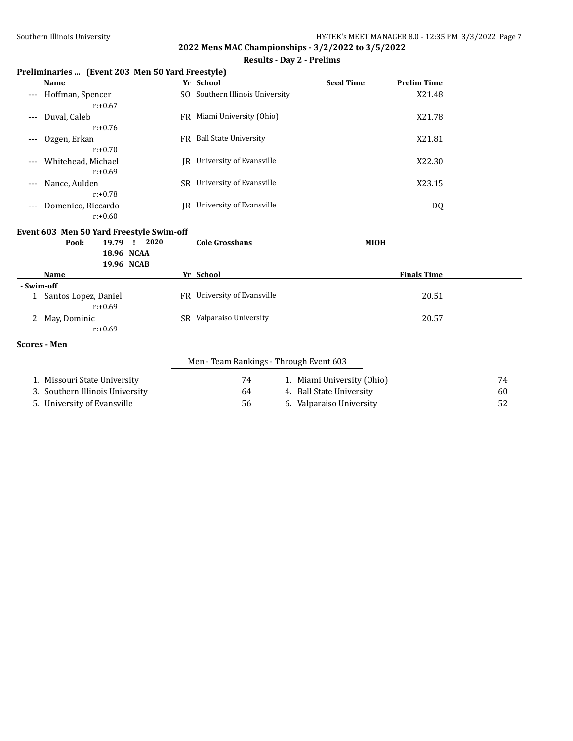#### **Results - Day 2 - Prelims**

#### **Preliminaries ... (Event 203 Men 50 Yard Freestyle)**

|              | Name                                     | Yr School                               | <b>Seed Time</b>           | <b>Prelim Time</b> |    |
|--------------|------------------------------------------|-----------------------------------------|----------------------------|--------------------|----|
|              | Hoffman, Spencer                         | SO Southern Illinois University         |                            | X21.48             |    |
|              | $r: +0.67$                               |                                         |                            |                    |    |
| $---$        | Duval, Caleb                             | FR Miami University (Ohio)              |                            | X21.78             |    |
|              | $r: +0.76$                               |                                         |                            |                    |    |
| ---          | Ozgen, Erkan                             | FR Ball State University                |                            | X21.81             |    |
|              | $r: +0.70$                               |                                         |                            |                    |    |
|              | Whitehead, Michael                       | JR University of Evansville             |                            | X22.30             |    |
|              | $r: +0.69$                               |                                         |                            |                    |    |
| $---$        | Nance, Aulden                            | SR University of Evansville             |                            | X23.15             |    |
|              | $r: +0.78$                               |                                         |                            |                    |    |
|              | Domenico, Riccardo                       | JR University of Evansville             |                            | DQ                 |    |
|              | $r: +0.60$                               |                                         |                            |                    |    |
|              | Event 603 Men 50 Yard Freestyle Swim-off |                                         |                            |                    |    |
|              | 2020<br>Pool:<br>19.79 !                 | <b>Cole Grosshans</b>                   | <b>MIOH</b>                |                    |    |
|              | 18.96 NCAA                               |                                         |                            |                    |    |
|              | 19.96 NCAB                               |                                         |                            |                    |    |
|              | <b>Name</b>                              | Yr School                               |                            | <b>Finals Time</b> |    |
| - Swim-off   |                                          |                                         |                            |                    |    |
| $\mathbf{1}$ | Santos Lopez, Daniel                     | FR University of Evansville             |                            | 20.51              |    |
|              | $r: +0.69$                               |                                         |                            |                    |    |
| 2            | May, Dominic<br>$r: +0.69$               | SR Valparaiso University                |                            | 20.57              |    |
|              |                                          |                                         |                            |                    |    |
|              | <b>Scores - Men</b>                      |                                         |                            |                    |    |
|              |                                          | Men - Team Rankings - Through Event 603 |                            |                    |    |
|              | 1. Missouri State University             | 74                                      | 1. Miami University (Ohio) |                    | 74 |
| 3.           | Southern Illinois University             | 64                                      | 4. Ball State University   |                    | 60 |
|              | 5. University of Evansville              | 56                                      | 6. Valparaiso University   |                    | 52 |